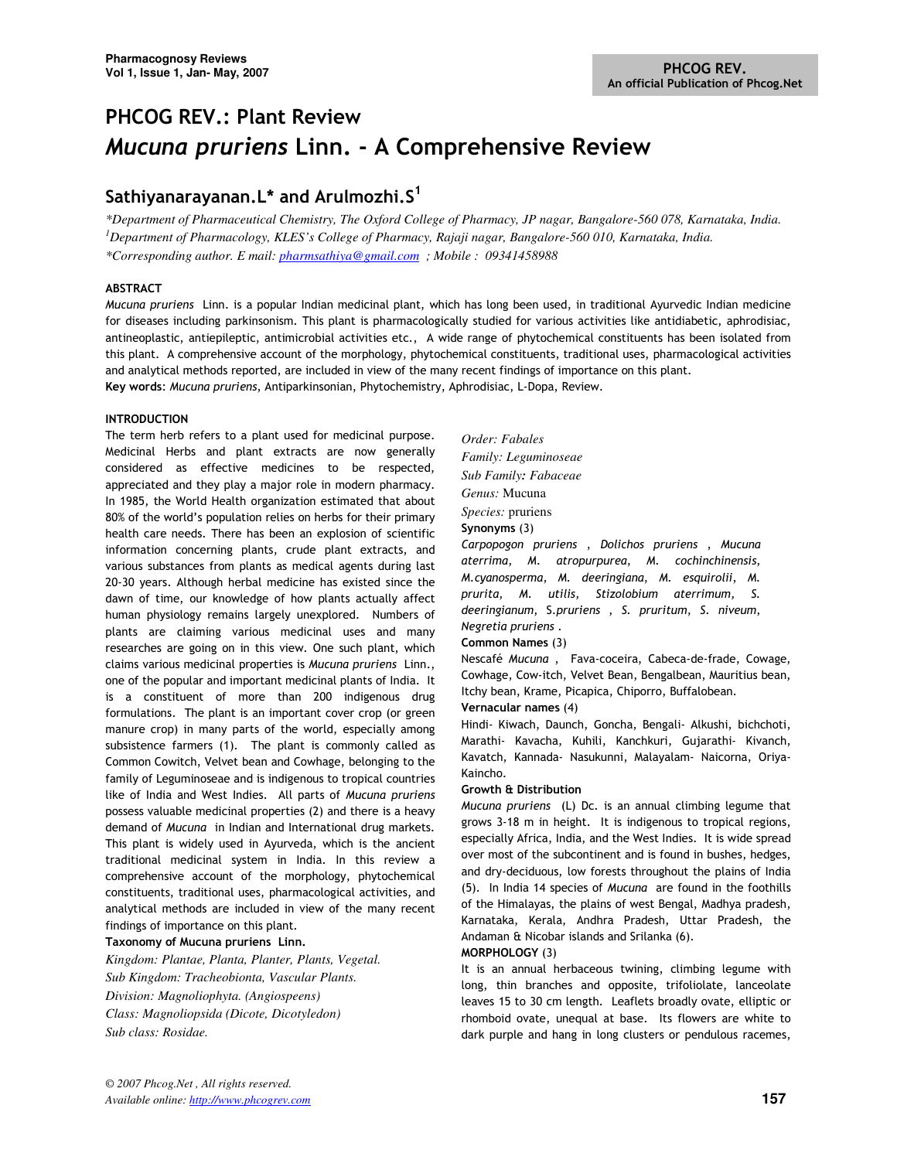# PHCOG REV.: Plant Review Mucuna pruriens Linn. - A Comprehensive Review

## Sathiyanarayanan. L\* and Arulmozhi. $S<sup>1</sup>$

*\*Department of Pharmaceutical Chemistry, The Oxford College of Pharmacy, JP nagar, Bangalore-560 078, Karnataka, India. <sup>1</sup>Department of Pharmacology, KLES's College of Pharmacy, Rajaji nagar, Bangalore-560 010, Karnataka, India. \*Corresponding author. E mail: pharmsathiya@gmail.com ; Mobile : 09341458988*

## ABSTRACT

Mucuna pruriens Linn. is a popular Indian medicinal plant, which has long been used, in traditional Ayurvedic Indian medicine for diseases including parkinsonism. This plant is pharmacologically studied for various activities like antidiabetic, aphrodisiac, antineoplastic, antiepileptic, antimicrobial activities etc., A wide range of phytochemical constituents has been isolated from this plant. A comprehensive account of the morphology, phytochemical constituents, traditional uses, pharmacological activities and analytical methods reported, are included in view of the many recent findings of importance on this plant. Key words: Mucuna pruriens, Antiparkinsonian, Phytochemistry, Aphrodisiac, L-Dopa, Review.

## INTRODUCTION

The term herb refers to a plant used for medicinal purpose. Medicinal Herbs and plant extracts are now generally considered as effective medicines to be respected, appreciated and they play a major role in modern pharmacy. In 1985, the World Health organization estimated that about 80% of the world's population relies on herbs for their primary health care needs. There has been an explosion of scientific information concerning plants, crude plant extracts, and various substances from plants as medical agents during last 20-30 years. Although herbal medicine has existed since the dawn of time, our knowledge of how plants actually affect human physiology remains largely unexplored. Numbers of plants are claiming various medicinal uses and many researches are going on in this view. One such plant, which claims various medicinal properties is Mucuna pruriens Linn., one of the popular and important medicinal plants of India. It is a constituent of more than 200 indigenous drug formulations. The plant is an important cover crop (or green manure crop) in many parts of the world, especially among subsistence farmers (1). The plant is commonly called as Common Cowitch, Velvet bean and Cowhage, belonging to the family of Leguminoseae and is indigenous to tropical countries like of India and West Indies. All parts of Mucuna pruriens possess valuable medicinal properties (2) and there is a heavy demand of Mucuna in Indian and International drug markets. This plant is widely used in Ayurveda, which is the ancient traditional medicinal system in India. In this review a comprehensive account of the morphology, phytochemical constituents, traditional uses, pharmacological activities, and analytical methods are included in view of the many recent findings of importance on this plant.

## Taxonomy of Mucuna pruriens Linn.

*Kingdom: Plantae, Planta, Planter, Plants, Vegetal. Sub Kingdom: Tracheobionta, Vascular Plants. Division: Magnoliophyta. (Angiospeens) Class: Magnoliopsida (Dicote, Dicotyledon) Sub class: Rosidae.* 

*Order: Fabales Family: Leguminoseae Sub Family: Fabaceae Genus:* Mucuna *Species:* pruriens Synonyms (3) Carpopogon pruriens , Dolichos pruriens , Mucuna aterrima, M. atropurpurea, M. cochinchinensis, M.cyanosperma, M. deeringiana, M. esquirolii, M. prurita, M. utilis, Stizolobium aterrimum, S. deeringianum, S.pruriens , S. pruritum, S. niveum, Negretia pruriens .

## Common Names (3)

Nescafé Mucuna , Fava-coceira, Cabeca-de-frade, Cowage, Cowhage, Cow-itch, Velvet Bean, Bengalbean, Mauritius bean, Itchy bean, Krame, Picapica, Chiporro, Buffalobean.

## Vernacular names (4)

Hindi- Kiwach, Daunch, Goncha, Bengali- Alkushi, bichchoti, Marathi- Kavacha, Kuhili, Kanchkuri, Gujarathi- Kivanch, Kavatch, Kannada- Nasukunni, Malayalam- Naicorna, Oriya-Kaincho.

## Growth & Distribution

Mucuna pruriens (L) Dc. is an annual climbing legume that grows 3-18 m in height. It is indigenous to tropical regions, especially Africa, India, and the West Indies. It is wide spread over most of the subcontinent and is found in bushes, hedges, and dry-deciduous, low forests throughout the plains of India (5). In India 14 species of Mucuna are found in the foothills of the Himalayas, the plains of west Bengal, Madhya pradesh, Karnataka, Kerala, Andhra Pradesh, Uttar Pradesh, the Andaman & Nicobar islands and Srilanka (6).

## MORPHOLOGY (3)

It is an annual herbaceous twining, climbing legume with long, thin branches and opposite, trifoliolate, lanceolate leaves 15 to 30 cm length. Leaflets broadly ovate, elliptic or rhomboid ovate, unequal at base. Its flowers are white to dark purple and hang in long clusters or pendulous racemes,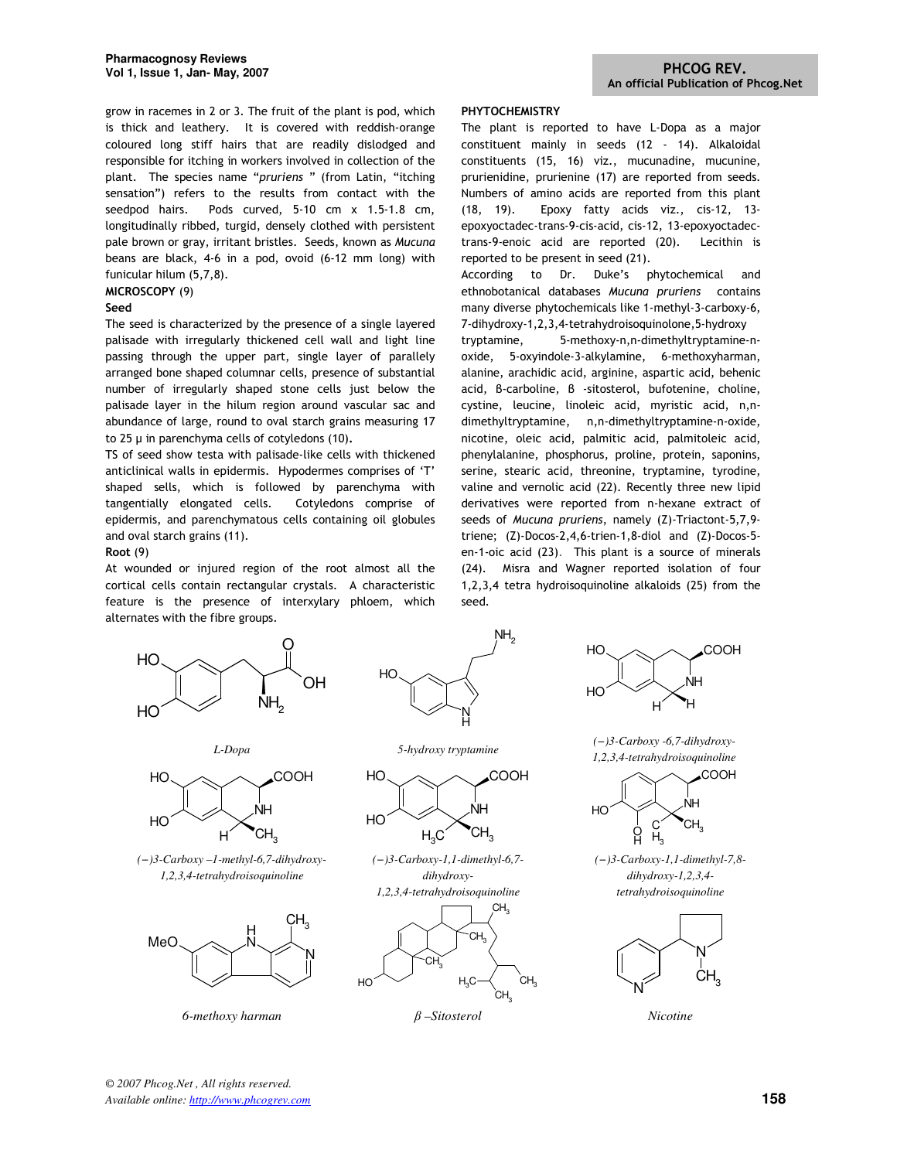grow in racemes in 2 or 3. The fruit of the plant is pod, which is thick and leathery. It is covered with reddish-orange coloured long stiff hairs that are readily dislodged and responsible for itching in workers involved in collection of the plant. The species name "pruriens " (from Latin, "itching sensation") refers to the results from contact with the seedpod hairs. Pods curved, 5-10 cm x 1.5-1.8 cm, longitudinally ribbed, turgid, densely clothed with persistent pale brown or gray, irritant bristles. Seeds, known as Mucuna beans are black, 4-6 in a pod, ovoid (6-12 mm long) with funicular hilum (5,7,8).

## MICROSCOPY (9)

#### Seed

The seed is characterized by the presence of a single layered palisade with irregularly thickened cell wall and light line passing through the upper part, single layer of parallely arranged bone shaped columnar cells, presence of substantial number of irregularly shaped stone cells just below the palisade layer in the hilum region around vascular sac and abundance of large, round to oval starch grains measuring 17 to 25  $\mu$  in parenchyma cells of cotyledons (10).

TS of seed show testa with palisade-like cells with thickened anticlinical walls in epidermis. Hypodermes comprises of 'T' shaped sells, which is followed by parenchyma with tangentially elongated cells. Cotyledons comprise of epidermis, and parenchymatous cells containing oil globules and oval starch grains (11).

#### Root (9)

At wounded or injured region of the root almost all the cortical cells contain rectangular crystals. A characteristic feature is the presence of interxylary phloem, which alternates with the fibre groups.





 $\rm_{/H2}$ 



*(−)3-Carboxy –1-methyl-6,7-dihydroxy-1,2,3,4-tetrahydroisoquinoline* 



*6-methoxy harman* β *–Sitosterol Nicotine* 

*L-Dopa 5-hydroxy tryptamine* 



*(−)3-Carboxy-1,1-dimethyl-6,7 dihydroxy-1,2,3,4-tetrahydroisoquinoline* 



## PHYTOCHEMISTRY

The plant is reported to have L-Dopa as a major constituent mainly in seeds (12 - 14). Alkaloidal constituents (15, 16) viz., mucunadine, mucunine, prurienidine, prurienine (17) are reported from seeds. Numbers of amino acids are reported from this plant (18, 19). Epoxy fatty acids viz., cis-12, 13 epoxyoctadec-trans-9-cis-acid, cis-12, 13-epoxyoctadectrans-9-enoic acid are reported (20). Lecithin is reported to be present in seed (21).

According to Dr. Duke's phytochemical and ethnobotanical databases Mucuna pruriens contains many diverse phytochemicals like 1-methyl-3-carboxy-6, 7-dihydroxy-1,2,3,4-tetrahydroisoquinolone,5-hydroxy

tryptamine, 5-methoxy-n,n-dimethyltryptamine-noxide, 5-oxyindole-3-alkylamine, 6-methoxyharman, alanine, arachidic acid, arginine, aspartic acid, behenic acid, β-carboline, β -sitosterol, bufotenine, choline, cystine, leucine, linoleic acid, myristic acid, n,ndimethyltryptamine, n,n-dimethyltryptamine-n-oxide, nicotine, oleic acid, palmitic acid, palmitoleic acid, phenylalanine, phosphorus, proline, protein, saponins, serine, stearic acid, threonine, tryptamine, tyrodine, valine and vernolic acid (22). Recently three new lipid derivatives were reported from n-hexane extract of seeds of Mucuna pruriens, namely (Z)-Triactont-5,7,9 triene; (Z)-Docos-2,4,6-trien-1,8-diol and (Z)-Docos-5 en-1-oic acid (23). This plant is a source of minerals (24). Misra and Wagner reported isolation of four 1,2,3,4 tetra hydroisoquinoline alkaloids (25) from the seed.



*(−)3-Carboxy -6,7-dihydroxy-1,2,3,4-tetrahydroisoquinoline* 



*(−)3-Carboxy-1,1-dimethyl-7,8 dihydroxy-1,2,3,4 tetrahydroisoquinoline* 

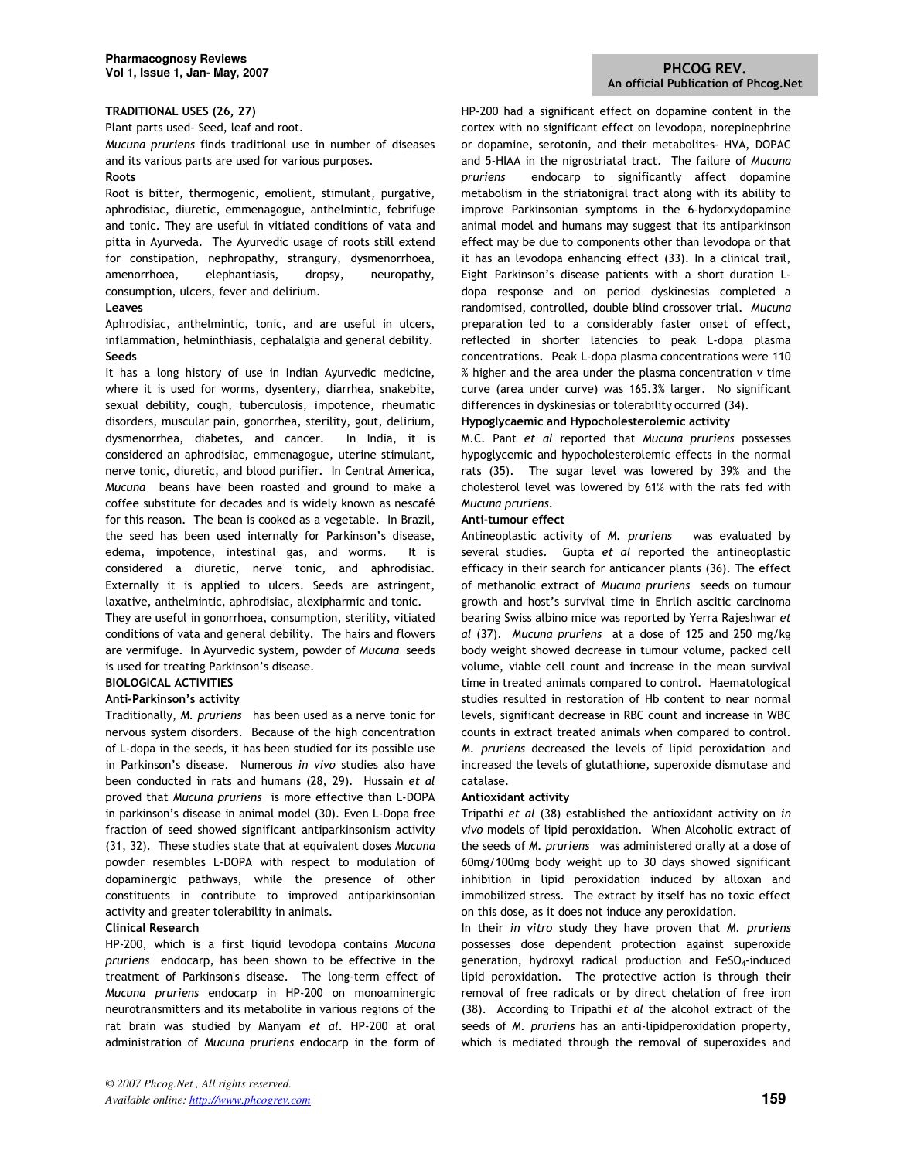## TRADITIONAL USES (26, 27)

Plant parts used- Seed, leaf and root.

Mucuna pruriens finds traditional use in number of diseases and its various parts are used for various purposes.

## Roots

Root is bitter, thermogenic, emolient, stimulant, purgative, aphrodisiac, diuretic, emmenagogue, anthelmintic, febrifuge and tonic. They are useful in vitiated conditions of vata and pitta in Ayurveda. The Ayurvedic usage of roots still extend for constipation, nephropathy, strangury, dysmenorrhoea, amenorrhoea, elephantiasis, dropsy, neuropathy, consumption, ulcers, fever and delirium.

#### Leaves

Aphrodisiac, anthelmintic, tonic, and are useful in ulcers, inflammation, helminthiasis, cephalalgia and general debility. Seeds

It has a long history of use in Indian Ayurvedic medicine, where it is used for worms, dysentery, diarrhea, snakebite, sexual debility, cough, tuberculosis, impotence, rheumatic disorders, muscular pain, gonorrhea, sterility, gout, delirium, dysmenorrhea, diabetes, and cancer. In India, it is considered an aphrodisiac, emmenagogue, uterine stimulant, nerve tonic, diuretic, and blood purifier. In Central America, Mucuna beans have been roasted and ground to make a coffee substitute for decades and is widely known as nescafé for this reason. The bean is cooked as a vegetable. In Brazil, the seed has been used internally for Parkinson's disease, edema, impotence, intestinal gas, and worms. It is considered a diuretic, nerve tonic, and aphrodisiac. Externally it is applied to ulcers. Seeds are astringent, laxative, anthelmintic, aphrodisiac, alexipharmic and tonic.

They are useful in gonorrhoea, consumption, sterility, vitiated conditions of vata and general debility. The hairs and flowers are vermifuge. In Ayurvedic system, powder of Mucuna seeds is used for treating Parkinson's disease.

## BIOLOGICAL ACTIVITIES

## Anti-Parkinson's activity

Traditionally, M. pruriens has been used as a nerve tonic for nervous system disorders. Because of the high concentration of L-dopa in the seeds, it has been studied for its possible use in Parkinson's disease. Numerous in vivo studies also have been conducted in rats and humans (28, 29). Hussain et al proved that Mucuna pruriens is more effective than L-DOPA in parkinson's disease in animal model (30). Even L-Dopa free fraction of seed showed significant antiparkinsonism activity (31, 32). These studies state that at equivalent doses Mucuna powder resembles L-DOPA with respect to modulation of dopaminergic pathways, while the presence of other constituents in contribute to improved antiparkinsonian activity and greater tolerability in animals.

#### Clinical Research

HP-200, which is a first liquid levodopa contains Mucuna pruriens endocarp, has been shown to be effective in the treatment of Parkinson's disease. The long-term effect of Mucuna pruriens endocarp in HP-200 on monoaminergic neurotransmitters and its metabolite in various regions of the rat brain was studied by Manyam et al. HP-200 at oral administration of Mucuna pruriens endocarp in the form of HP-200 had a significant effect on dopamine content in the cortex with no significant effect on levodopa, norepinephrine or dopamine, serotonin, and their metabolites- HVA, DOPAC and 5-HIAA in the nigrostriatal tract. The failure of Mucuna pruriens endocarp to significantly affect dopamine metabolism in the striatonigral tract along with its ability to improve Parkinsonian symptoms in the 6-hydorxydopamine animal model and humans may suggest that its antiparkinson effect may be due to components other than levodopa or that it has an levodopa enhancing effect (33). In a clinical trail, Eight Parkinson's disease patients with a short duration Ldopa response and on period dyskinesias completed a randomised, controlled, double blind crossover trial. Mucuna preparation led to a considerably faster onset of effect, reflected in shorter latencies to peak L-dopa plasma concentrations. Peak L-dopa plasma concentrations were 110 % higher and the area under the plasma concentration v time curve (area under curve) was 165.3% larger. No significant differences in dyskinesias or tolerability occurred (34).

## Hypoglycaemic and Hypocholesterolemic activity

M.C. Pant et al reported that Mucuna pruriens possesses hypoglycemic and hypocholesterolemic effects in the normal rats (35). The sugar level was lowered by 39% and the cholesterol level was lowered by 61% with the rats fed with Mucuna pruriens.

#### Anti-tumour effect

Antineoplastic activity of M. pruriens was evaluated by several studies. Gupta et al reported the antineoplastic efficacy in their search for anticancer plants (36). The effect of methanolic extract of Mucuna pruriens seeds on tumour growth and host's survival time in Ehrlich ascitic carcinoma bearing Swiss albino mice was reported by Yerra Rajeshwar et al (37). Mucuna pruriens at a dose of 125 and 250 mg/kg body weight showed decrease in tumour volume, packed cell volume, viable cell count and increase in the mean survival time in treated animals compared to control. Haematological studies resulted in restoration of Hb content to near normal levels, significant decrease in RBC count and increase in WBC counts in extract treated animals when compared to control. M. pruriens decreased the levels of lipid peroxidation and increased the levels of glutathione, superoxide dismutase and catalase.

#### Antioxidant activity

Tripathi et al (38) established the antioxidant activity on in vivo models of lipid peroxidation. When Alcoholic extract of the seeds of M. pruriens was administered orally at a dose of 60mg/100mg body weight up to 30 days showed significant inhibition in lipid peroxidation induced by alloxan and immobilized stress. The extract by itself has no toxic effect on this dose, as it does not induce any peroxidation.

In their in vitro study they have proven that M. pruriens possesses dose dependent protection against superoxide generation, hydroxyl radical production and FeSO<sub>4</sub>-induced lipid peroxidation. The protective action is through their removal of free radicals or by direct chelation of free iron (38). According to Tripathi et al the alcohol extract of the seeds of M. pruriens has an anti-lipidperoxidation property, which is mediated through the removal of superoxides and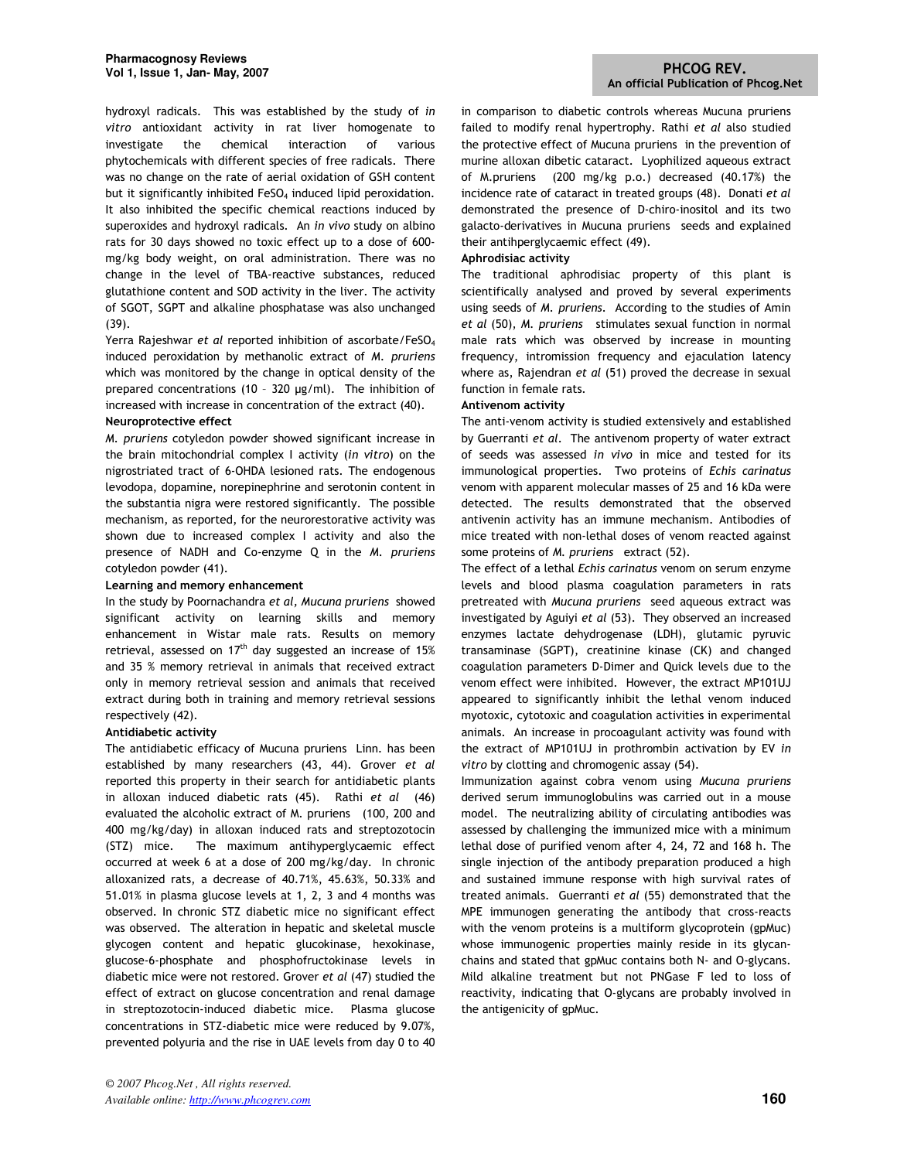hydroxyl radicals. This was established by the study of in vitro antioxidant activity in rat liver homogenate to investigate the chemical interaction of various phytochemicals with different species of free radicals. There was no change on the rate of aerial oxidation of GSH content but it significantly inhibited FeSO<sub>4</sub> induced lipid peroxidation. It also inhibited the specific chemical reactions induced by superoxides and hydroxyl radicals. An in vivo study on albino rats for 30 days showed no toxic effect up to a dose of 600 mg/kg body weight, on oral administration. There was no change in the level of TBA-reactive substances, reduced glutathione content and SOD activity in the liver. The activity of SGOT, SGPT and alkaline phosphatase was also unchanged (39).

Yerra Rajeshwar et al reported inhibition of ascorbate/FeSO<sup>4</sup> induced peroxidation by methanolic extract of M. pruriens which was monitored by the change in optical density of the prepared concentrations (10 – 320 µg/ml). The inhibition of increased with increase in concentration of the extract (40).

#### Neuroprotective effect

M. pruriens cotyledon powder showed significant increase in the brain mitochondrial complex I activity (in vitro) on the nigrostriated tract of 6-OHDA lesioned rats. The endogenous levodopa, dopamine, norepinephrine and serotonin content in the substantia nigra were restored significantly. The possible mechanism, as reported, for the neurorestorative activity was shown due to increased complex I activity and also the presence of NADH and Co-enzyme Q in the M. pruriens cotyledon powder (41).

## Learning and memory enhancement

In the study by Poornachandra et al, Mucuna pruriens showed significant activity on learning skills and memory enhancement in Wistar male rats. Results on memory retrieval, assessed on  $17<sup>th</sup>$  day suggested an increase of 15% and 35 % memory retrieval in animals that received extract only in memory retrieval session and animals that received extract during both in training and memory retrieval sessions respectively (42).

## Antidiabetic activity

The antidiabetic efficacy of Mucuna pruriens Linn. has been established by many researchers (43, 44). Grover et al reported this property in their search for antidiabetic plants in alloxan induced diabetic rats (45). Rathi et al (46) evaluated the alcoholic extract of M. pruriens (100, 200 and 400 mg/kg/day) in alloxan induced rats and streptozotocin (STZ) mice. The maximum antihyperglycaemic effect occurred at week 6 at a dose of 200 mg/kg/day. In chronic alloxanized rats, a decrease of 40.71%, 45.63%, 50.33% and 51.01% in plasma glucose levels at 1, 2, 3 and 4 months was observed. In chronic STZ diabetic mice no significant effect was observed. The alteration in hepatic and skeletal muscle glycogen content and hepatic glucokinase, hexokinase, glucose-6-phosphate and phosphofructokinase levels in diabetic mice were not restored. Grover et al (47) studied the effect of extract on glucose concentration and renal damage in streptozotocin-induced diabetic mice. Plasma glucose concentrations in STZ-diabetic mice were reduced by 9.07%, prevented polyuria and the rise in UAE levels from day 0 to 40

in comparison to diabetic controls whereas Mucuna pruriens failed to modify renal hypertrophy. Rathi et al also studied the protective effect of Mucuna pruriens in the prevention of murine alloxan dibetic cataract. Lyophilized aqueous extract of M.pruriens (200 mg/kg p.o.) decreased (40.17%) the incidence rate of cataract in treated groups (48). Donati et al demonstrated the presence of D-chiro-inositol and its two galacto-derivatives in Mucuna pruriens seeds and explained their antihperglycaemic effect (49).

## Aphrodisiac activity

The traditional aphrodisiac property of this plant is scientifically analysed and proved by several experiments using seeds of M. pruriens. According to the studies of Amin et al (50), M. pruriens stimulates sexual function in normal male rats which was observed by increase in mounting frequency, intromission frequency and ejaculation latency where as, Rajendran et al (51) proved the decrease in sexual function in female rats.

#### Antivenom activity

The anti-venom activity is studied extensively and established by Guerranti et al. The antivenom property of water extract of seeds was assessed in vivo in mice and tested for its immunological properties. Two proteins of Echis carinatus venom with apparent molecular masses of 25 and 16 kDa were detected. The results demonstrated that the observed antivenin activity has an immune mechanism. Antibodies of mice treated with non-lethal doses of venom reacted against some proteins of M. pruriens extract (52).

The effect of a lethal Echis carinatus venom on serum enzyme levels and blood plasma coagulation parameters in rats pretreated with Mucuna pruriens seed aqueous extract was investigated by Aguiyi et al (53). They observed an increased enzymes lactate dehydrogenase (LDH), glutamic pyruvic transaminase (SGPT), creatinine kinase (CK) and changed coagulation parameters D-Dimer and Quick levels due to the venom effect were inhibited. However, the extract MP101UJ appeared to significantly inhibit the lethal venom induced myotoxic, cytotoxic and coagulation activities in experimental animals. An increase in procoagulant activity was found with the extract of MP101UJ in prothrombin activation by EV in vitro by clotting and chromogenic assay (54).

Immunization against cobra venom using Mucuna pruriens derived serum immunoglobulins was carried out in a mouse model. The neutralizing ability of circulating antibodies was assessed by challenging the immunized mice with a minimum lethal dose of purified venom after 4, 24, 72 and 168 h. The single injection of the antibody preparation produced a high and sustained immune response with high survival rates of treated animals. Guerranti et al (55) demonstrated that the MPE immunogen generating the antibody that cross-reacts with the venom proteins is a multiform glycoprotein (gpMuc) whose immunogenic properties mainly reside in its glycanchains and stated that gpMuc contains both N- and O-glycans. Mild alkaline treatment but not PNGase F led to loss of reactivity, indicating that O-glycans are probably involved in the antigenicity of gpMuc.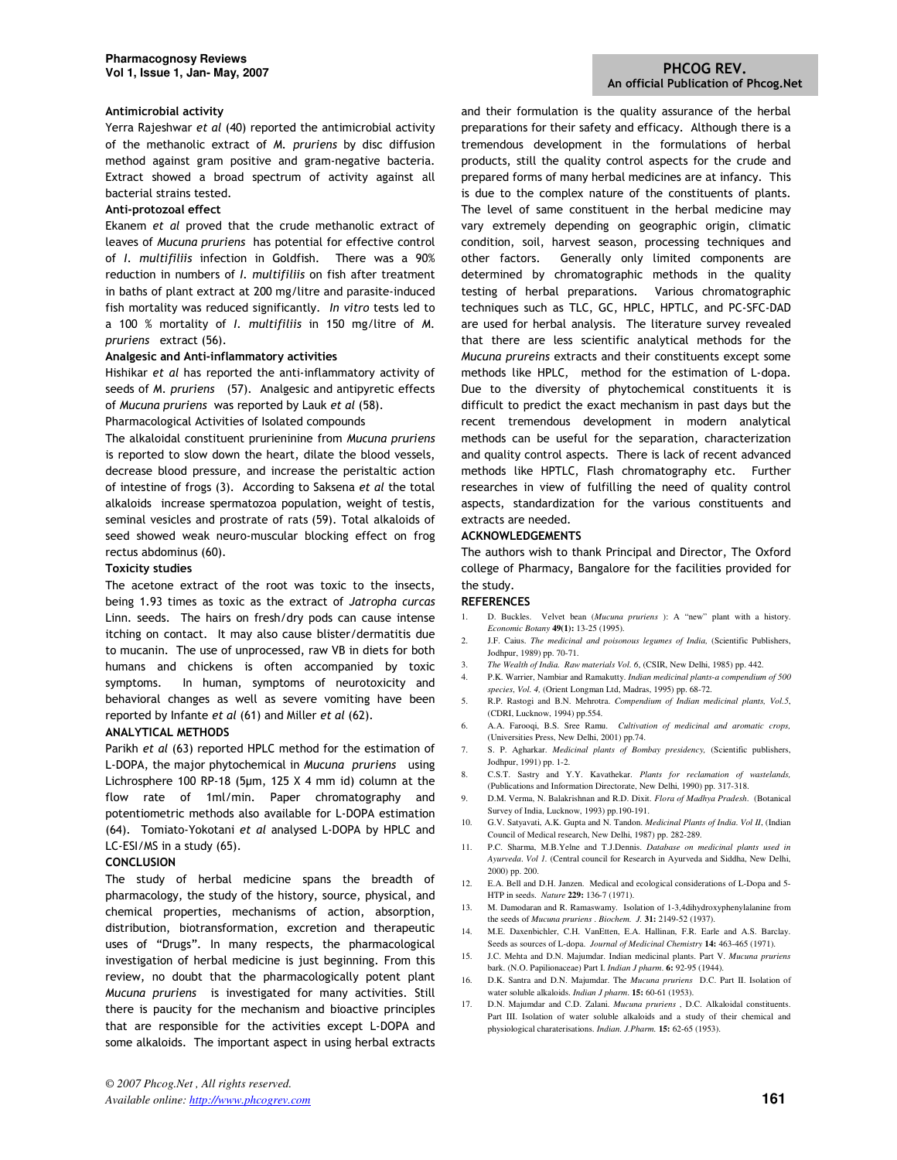#### Antimicrobial activity

Yerra Rajeshwar et al (40) reported the antimicrobial activity of the methanolic extract of M. pruriens by disc diffusion method against gram positive and gram-negative bacteria. Extract showed a broad spectrum of activity against all bacterial strains tested.

## Anti-protozoal effect

Ekanem et al proved that the crude methanolic extract of leaves of Mucuna pruriens has potential for effective control of I. multifiliis infection in Goldfish. There was a 90% reduction in numbers of I. multifiliis on fish after treatment in baths of plant extract at 200 mg/litre and parasite-induced fish mortality was reduced significantly. In vitro tests led to a 100 % mortality of I. multifiliis in 150 mg/litre of M. pruriens extract (56).

#### Analgesic and Anti-inflammatory activities

Hishikar et al has reported the anti-inflammatory activity of seeds of M. pruriens (57). Analgesic and antipyretic effects of Mucuna pruriens was reported by Lauk et al (58).

Pharmacological Activities of Isolated compounds

The alkaloidal constituent prurieninine from Mucuna pruriens is reported to slow down the heart, dilate the blood vessels, decrease blood pressure, and increase the peristaltic action of intestine of frogs (3). According to Saksena et al the total alkaloids increase spermatozoa population, weight of testis, seminal vesicles and prostrate of rats (59). Total alkaloids of seed showed weak neuro-muscular blocking effect on frog rectus abdominus (60).

#### Toxicity studies

The acetone extract of the root was toxic to the insects, being 1.93 times as toxic as the extract of Jatropha curcas Linn. seeds. The hairs on fresh/dry pods can cause intense itching on contact. It may also cause blister/dermatitis due to mucanin. The use of unprocessed, raw VB in diets for both humans and chickens is often accompanied by toxic symptoms. In human, symptoms of neurotoxicity and behavioral changes as well as severe vomiting have been reported by Infante et al (61) and Miller et al (62).

## ANALYTICAL METHODS

Parikh et al (63) reported HPLC method for the estimation of L-DOPA, the major phytochemical in Mucuna pruriens using Lichrosphere 100 RP-18 (5µm, 125 X 4 mm id) column at the flow rate of 1ml/min. Paper chromatography and potentiometric methods also available for L-DOPA estimation (64). Tomiato-Yokotani et al analysed L-DOPA by HPLC and LC-ESI/MS in a study (65).

#### CONCLUSION

The study of herbal medicine spans the breadth of pharmacology, the study of the history, source, physical, and chemical properties, mechanisms of action, absorption, distribution, biotransformation, excretion and therapeutic uses of "Drugs". In many respects, the pharmacological investigation of herbal medicine is just beginning. From this review, no doubt that the pharmacologically potent plant Mucuna pruriens is investigated for many activities. Still there is paucity for the mechanism and bioactive principles that are responsible for the activities except L-DOPA and some alkaloids. The important aspect in using herbal extracts and their formulation is the quality assurance of the herbal preparations for their safety and efficacy. Although there is a tremendous development in the formulations of herbal products, still the quality control aspects for the crude and prepared forms of many herbal medicines are at infancy. This is due to the complex nature of the constituents of plants. The level of same constituent in the herbal medicine may vary extremely depending on geographic origin, climatic condition, soil, harvest season, processing techniques and other factors. Generally only limited components are determined by chromatographic methods in the quality testing of herbal preparations. Various chromatographic techniques such as TLC, GC, HPLC, HPTLC, and PC-SFC-DAD are used for herbal analysis. The literature survey revealed that there are less scientific analytical methods for the Mucuna prureins extracts and their constituents except some methods like HPLC, method for the estimation of L-dopa. Due to the diversity of phytochemical constituents it is difficult to predict the exact mechanism in past days but the recent tremendous development in modern analytical methods can be useful for the separation, characterization and quality control aspects. There is lack of recent advanced methods like HPTLC, Flash chromatography etc. Further researches in view of fulfilling the need of quality control aspects, standardization for the various constituents and extracts are needed.

#### ACKNOWLEDGEMENTS

The authors wish to thank Principal and Director, The Oxford college of Pharmacy, Bangalore for the facilities provided for the study.

#### **REFERENCES**

- 1. D. Buckles. Velvet bean (*Mucuna pruriens* ): A "new" plant with a history. *Economic Botany* **49(1):** 13-25 (1995).
- 2. J.F. Caius. *The medicinal and poisonous legumes of India,* (Scientific Publishers, Jodhpur, 1989) pp. 70-71.
- 3. *The Wealth of India. Raw materials Vol. 6*, (CSIR, New Delhi, 1985) pp. 442.
- 4. P.K. Warrier, Nambiar and Ramakutty. *Indian medicinal plants-a compendium of 500 species*, *Vol. 4,* (Orient Longman Ltd, Madras, 1995) pp. 68-72.
- 5. R.P. Rastogi and B.N. Mehrotra. *Compendium of Indian medicinal plants, Vol.5*, (CDRI, Lucknow, 1994) pp.554.
- 6. A.A. Farooqi, B.S. Sree Ramu. *Cultivation of medicinal and aromatic crops,* (Universities Press, New Delhi, 2001) pp.74.
- 7. S. P. Agharkar. *Medicinal plants of Bombay presidency,* (Scientific publishers, Jodhpur, 1991) pp. 1-2.
- 8. C.S.T. Sastry and Y.Y. Kavathekar. *Plants for reclamation of wastelands,*  (Publications and Information Directorate, New Delhi, 1990) pp. 317-318.
- 9. D.M. Verma, N. Balakrishnan and R.D. Dixit. *Flora of Madhya Pradesh*. (Botanical Survey of India, Lucknow, 1993) pp.190-191.
- 10. G.V. Satyavati, A.K. Gupta and N. Tandon. *Medicinal Plants of India*. *Vol II*, (Indian Council of Medical research, New Delhi, 1987) pp. 282-289.
- 11. P.C. Sharma, M.B.Yelne and T.J.Dennis. *Database on medicinal plants used in Ayurveda*. *Vol 1.* (Central council for Research in Ayurveda and Siddha, New Delhi, 2000) pp. 200.
- 12. E.A. Bell and D.H. Janzen. Medical and ecological considerations of L-Dopa and 5- HTP in seeds. *Nature* **229:** 136-7 (1971).
- 13. M. Damodaran and R. Ramaswamy. Isolation of 1-3,4dihydroxyphenylalanine from the seeds of *Mucuna pruriens* . *Biochem. J.* **31:** 2149-52 (1937).
- 14. M.E. Daxenbichler, C.H. VanEtten, E.A. Hallinan, F.R. Earle and A.S. Barclay. Seeds as sources of L-dopa. *Journal of Medicinal Chemistry* **14:** 463-465 (1971).
- 15. J.C. Mehta and D.N. Majumdar. Indian medicinal plants. Part V. *Mucuna pruriens*  bark. (N.O. Papilionaceae) Part I. *Indian J pharm*. **6:** 92-95 (1944).
- 16. D.K. Santra and D.N. Majumdar. The *Mucuna pruriens* D.C. Part II. Isolation of water soluble alkaloids. *Indian J pharm*. **15:** 60-61 (1953).
- 17. D.N. Majumdar and C.D. Zalani. *Mucuna pruriens* , D.C. Alkaloidal constituents. Part III. Isolation of water soluble alkaloids and a study of their chemical and physiological charaterisations. *Indian. J.Pharm.* **15:** 62-65 (1953).